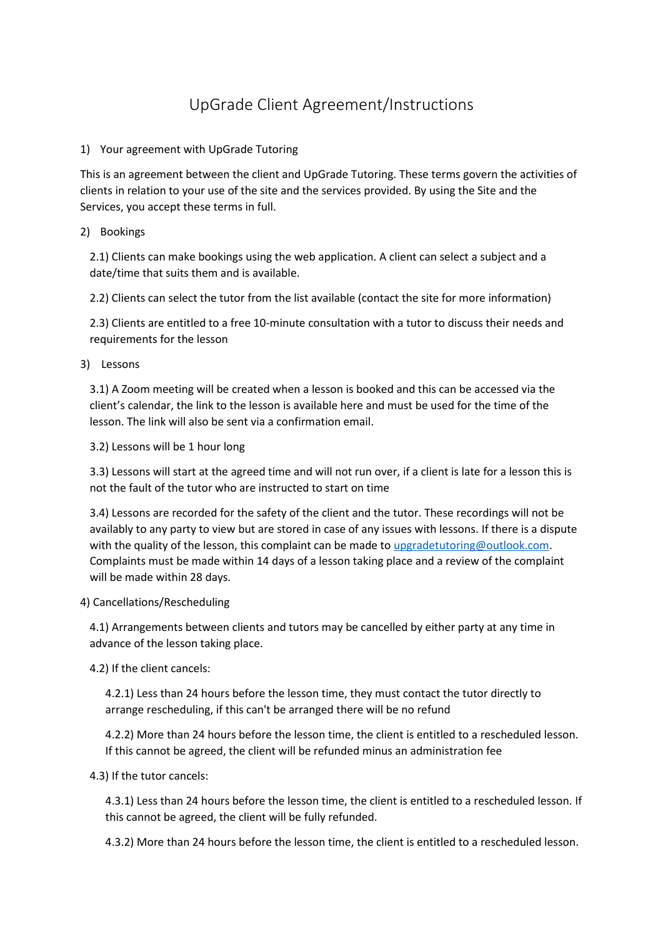## UpGrade Client Agreement/Instructions

## 1) Your agreement with UpGrade Tutoring

This is an agreement between the client and UpGrade Tutoring. These terms govern the activities of clients in relation to your use of the site and the services provided. By using the Site and the Services, you accept these terms in full.

2) Bookings

2.1) Clients can make bookings using the web application. A client can select a subject and a date/time that suits them and is available.

2.2) Clients can select the tutor from the list available (contact the site for more information)

2.3) Clients are entitled to a free 10-minute consultation with a tutor to discuss their needs and requirements for the lesson

3) Lessons

3.1) A Zoom meeting will be created when a lesson is booked and this can be accessed via the client's calendar, the link to the lesson is available here and must be used for the time of the lesson. The link will also be sent via a confirmation email.

3.2) Lessons will be 1 hour long

3.3) Lessons will start at the agreed time and will not run over, if a client is late for a lesson this is not the fault of the tutor who are instructed to start on time

3.4) Lessons are recorded for the safety of the client and the tutor. These recordings will not be availably to any party to view but are stored in case of any issues with lessons. If there is a dispute with the quality of the lesson, this complaint can be made t[o upgradetutoring@outlook.com.](mailto:upgradetutoring@outlook.com) Complaints must be made within 14 days of a lesson taking place and a review of the complaint will be made within 28 days.

## 4) Cancellations/Rescheduling

4.1) Arrangements between clients and tutors may be cancelled by either party at any time in advance of the lesson taking place.

4.2) If the client cancels:

4.2.1) Less than 24 hours before the lesson time, they must contact the tutor directly to arrange rescheduling, if this can't be arranged there will be no refund

4.2.2) More than 24 hours before the lesson time, the client is entitled to a rescheduled lesson. If this cannot be agreed, the client will be refunded minus an administration fee

4.3) If the tutor cancels:

4.3.1) Less than 24 hours before the lesson time, the client is entitled to a rescheduled lesson. If this cannot be agreed, the client will be fully refunded.

4.3.2) More than 24 hours before the lesson time, the client is entitled to a rescheduled lesson.